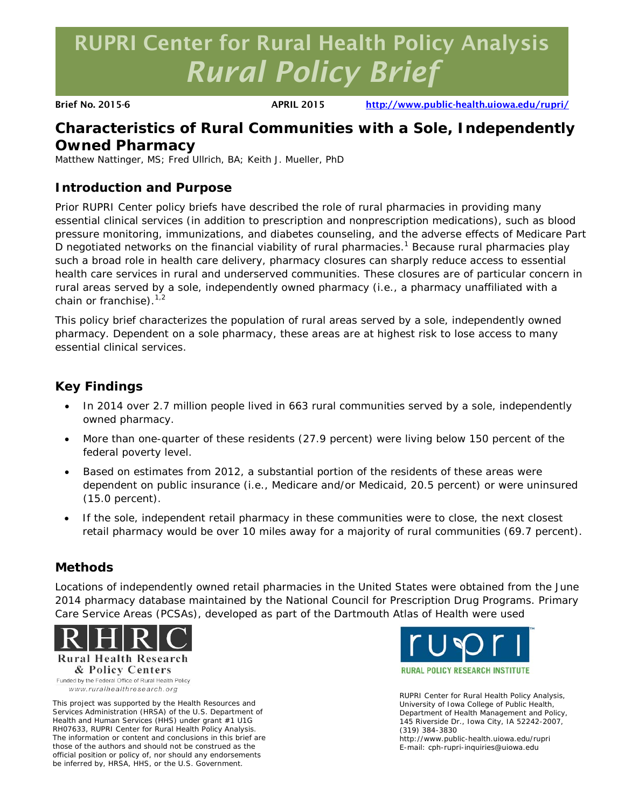# RUPRI Center for Rural Health Policy Analysis *Rural Policy Brief*

Brief No. 2015-6 **APRIL 2015** APRIL 2015 <http://www.public-health.uiowa.edu/rupri/>

## **Characteristics of Rural Communities with a Sole, Independently Owned Pharmacy**

*Matthew Nattinger, MS; Fred Ullrich, BA; Keith J. Mueller, PhD*

## **Introduction and Purpose**

Prior RUPRI Center policy briefs have described the role of rural pharmacies in providing many essential clinical services (in addition to prescription and nonprescription medications), such as blood pressure monitoring, immunizations, and diabetes counseling, and the adverse effects of Medicare Part D negotiated networks on the financial viability of rural pharmacies.<sup>1</sup> Because rural pharmacies play such a broad role in health care delivery, pharmacy closures can sharply reduce access to essential health care services in rural and underserved communities. These closures are of particular concern in rural areas served by a sole, independently owned pharmacy (i.e., a pharmacy unaffiliated with a chain or franchise). $1,2$ 

This policy brief characterizes the population of rural areas served by a sole, independently owned pharmacy. Dependent on a sole pharmacy, these areas are at highest risk to lose access to many essential clinical services.

## **Key Findings**

- In 2014 over 2.7 million people lived in 663 rural communities served by a sole, independently owned pharmacy.
- More than one-quarter of these residents (27.9 percent) were living below 150 percent of the federal poverty level.
- Based on estimates from 2012, a substantial portion of the residents of these areas were dependent on public insurance (i.e., Medicare and/or Medicaid, 20.5 percent) or were uninsured (15.0 percent).
- If the sole, independent retail pharmacy in these communities were to close, the next closest retail pharmacy would be over 10 miles away for a majority of rural communities (69.7 percent).

## **Methods**

Locations of independently owned retail pharmacies in the United States were obtained from the June 2014 pharmacy database maintained by the National Council for Prescription Drug Programs. Primary Care Service Areas (PCSAs), developed as part of the Dartmouth Atlas of Health were used



### **Rural Health Research** & Policy Centers

Funded by the Federal Office of Rural Health Policy www.ruralhealthresearch.org

This project was supported by the Health Resources and Services Administration (HRSA) of the U.S. Department of Health and Human Services (HHS) under grant #1 U1G RH07633, RUPRI Center for Rural Health Policy Analysis. The information or content and conclusions in this brief are those of the authors and should not be construed as the official position or policy of, nor should any endorsements be inferred by, HRSA, HHS, or the U.S. Government.



RUPRI Center for Rural Health Policy Analysis, University of Iowa College of Public Health, Department of Health Management and Policy, 145 Riverside Dr., Iowa City, IA 52242-2007, (319) 384-3830 http://www.public-health.uiowa.edu/rupri

E-mail: cph-rupri-inquiries@uiowa.edu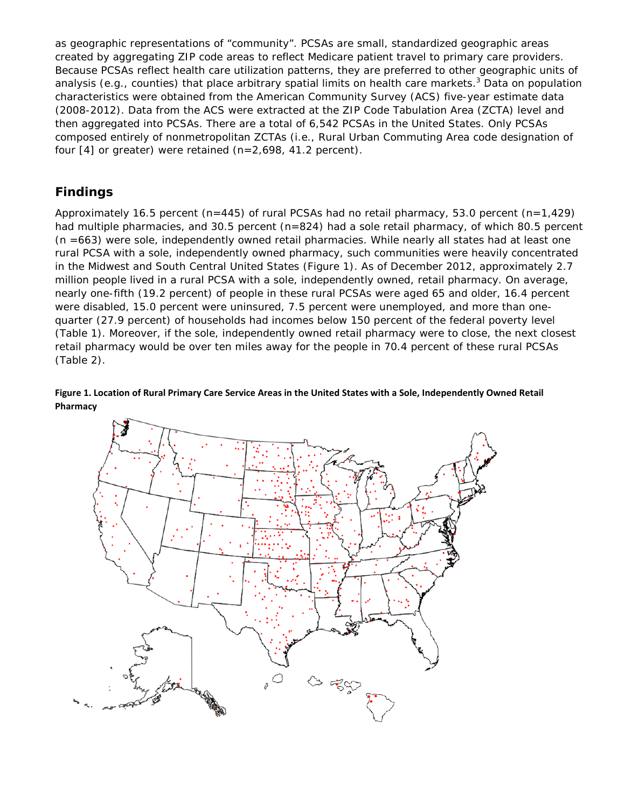as geographic representations of "community". PCSAs are small, standardized geographic areas created by aggregating ZIP code areas to reflect Medicare patient travel to primary care providers. Because PCSAs reflect health care utilization patterns, they are preferred to other geographic units of analysis (e.g., counties) that place arbitrary spatial limits on health care markets.<sup>3</sup> Data on population characteristics were obtained from the American Community Survey (ACS) five-year estimate data (2008-2012). Data from the ACS were extracted at the ZIP Code Tabulation Area (ZCTA) level and then aggregated into PCSAs. There are a total of 6,542 PCSAs in the United States. Only PCSAs composed entirely of nonmetropolitan ZCTAs (i.e., Rural Urban Commuting Area code designation of four  $[4]$  or greater) were retained  $(n=2,698, 41.2 \text{ percent})$ .

## **Findings**

Approximately 16.5 percent (n=445) of rural PCSAs had no retail pharmacy, 53.0 percent (n=1,429) had multiple pharmacies, and 30.5 percent (n=824) had a sole retail pharmacy, of which 80.5 percent (n =663) were sole, independently owned retail pharmacies. While nearly all states had at least one rural PCSA with a sole, independently owned pharmacy, such communities were heavily concentrated in the Midwest and South Central United States (Figure 1). As of December 2012, approximately 2.7 million people lived in a rural PCSA with a sole, independently owned, retail pharmacy. On average, nearly one-fifth (19.2 percent) of people in these rural PCSAs were aged 65 and older, 16.4 percent were disabled, 15.0 percent were uninsured, 7.5 percent were unemployed, and more than onequarter (27.9 percent) of households had incomes below 150 percent of the federal poverty level (Table 1). Moreover, if the sole, independently owned retail pharmacy were to close, the next closest retail pharmacy would be over ten miles away for the people in 70.4 percent of these rural PCSAs (Table 2).

#### **Figure 1. Location of Rural Primary Care Service Areas in the United States with a Sole, Independently Owned Retail Pharmacy**

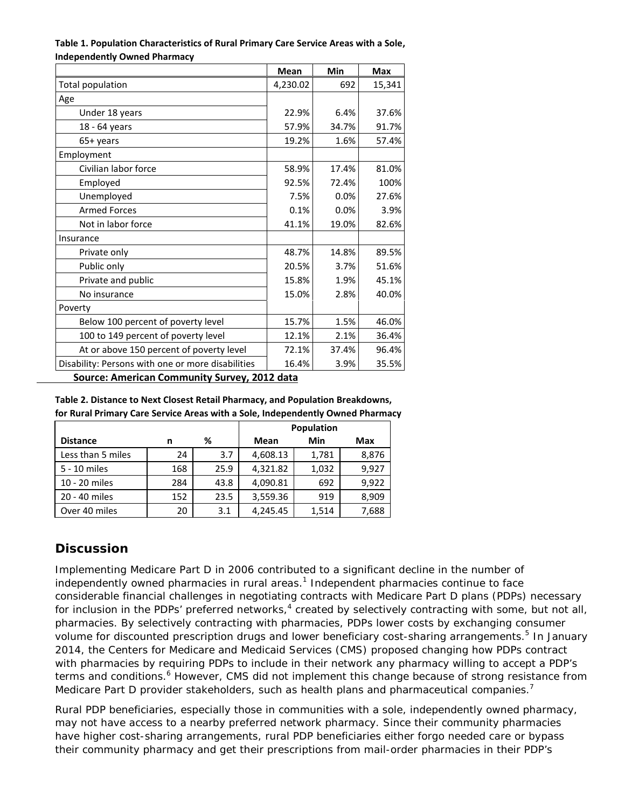| Table 1. Population Characteristics of Rural Primary Care Service Areas with a Sole, |
|--------------------------------------------------------------------------------------|
| <b>Independently Owned Pharmacy</b>                                                  |

|                                                   | Mean     | Min   | Max    |
|---------------------------------------------------|----------|-------|--------|
| <b>Total population</b>                           | 4,230.02 | 692   | 15,341 |
| Age                                               |          |       |        |
| Under 18 years                                    | 22.9%    | 6.4%  | 37.6%  |
| 18 - 64 years                                     | 57.9%    | 34.7% | 91.7%  |
| 65+ years                                         | 19.2%    | 1.6%  | 57.4%  |
| Employment                                        |          |       |        |
| Civilian labor force                              | 58.9%    | 17.4% | 81.0%  |
| Employed                                          | 92.5%    | 72.4% | 100%   |
| Unemployed                                        | 7.5%     | 0.0%  | 27.6%  |
| <b>Armed Forces</b>                               | 0.1%     | 0.0%  | 3.9%   |
| Not in labor force                                | 41.1%    | 19.0% | 82.6%  |
| Insurance                                         |          |       |        |
| Private only                                      | 48.7%    | 14.8% | 89.5%  |
| Public only                                       | 20.5%    | 3.7%  | 51.6%  |
| Private and public                                | 15.8%    | 1.9%  | 45.1%  |
| No insurance                                      | 15.0%    | 2.8%  | 40.0%  |
| Poverty                                           |          |       |        |
| Below 100 percent of poverty level                | 15.7%    | 1.5%  | 46.0%  |
| 100 to 149 percent of poverty level               | 12.1%    | 2.1%  | 36.4%  |
| At or above 150 percent of poverty level          | 72.1%    | 37.4% | 96.4%  |
| Disability: Persons with one or more disabilities | 16.4%    | 3.9%  | 35.5%  |

**Source: American Community Survey, 2012 data**

| Table 2. Distance to Next Closest Retail Pharmacy, and Population Breakdowns,  |
|--------------------------------------------------------------------------------|
| for Rural Primary Care Service Areas with a Sole, Independently Owned Pharmacy |

|                   |     |      | <b>Population</b> |       |       |
|-------------------|-----|------|-------------------|-------|-------|
| <b>Distance</b>   | n   | %    | Mean              | Min   | Max   |
| Less than 5 miles | 24  | 3.7  | 4,608.13          | 1,781 | 8,876 |
| 5 - 10 miles      | 168 | 25.9 | 4,321.82          | 1,032 | 9,927 |
| 10 - 20 miles     | 284 | 43.8 | 4,090.81          | 692   | 9,922 |
| 20 - 40 miles     | 152 | 23.5 | 3,559.36          | 919   | 8,909 |
| Over 40 miles     | 20  | 3.1  | 4,245.45          | 1,514 | 7,688 |

## **Discussion**

Implementing Medicare Part D in 2006 contributed to a significant decline in the number of independently owned pharmacies in rural areas.<sup>1</sup> Independent pharmacies continue to face considerable financial challenges in negotiating contracts with Medicare Part D plans (PDPs) necessary for inclusion in the PDPs' preferred networks,<sup>4</sup> created by selectively contracting with some, but not all, pharmacies. By selectively contracting with pharmacies, PDPs lower costs by exchanging consumer volume for discounted prescription drugs and lower beneficiary cost-sharing arrangements.<sup>5</sup> In January 2014, the Centers for Medicare and Medicaid Services (CMS) proposed changing how PDPs contract with pharmacies by requiring PDPs to include in their network any pharmacy willing to accept a PDP's terms and conditions.<sup>6</sup> However, CMS did not implement this change because of strong resistance from Medicare Part D provider stakeholders, such as health plans and pharmaceutical companies.<sup>7</sup>

Rural PDP beneficiaries, especially those in communities with a sole, independently owned pharmacy, may not have access to a nearby preferred network pharmacy. Since their community pharmacies have higher cost-sharing arrangements, rural PDP beneficiaries either forgo needed care or bypass their community pharmacy and get their prescriptions from mail-order pharmacies in their PDP's